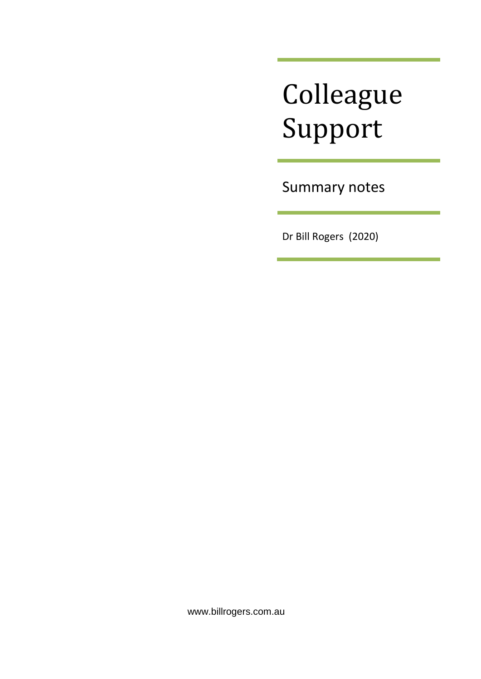# Colleague Support

Summary notes

Dr Bill Rogers (2020)

www.billrogers.com.au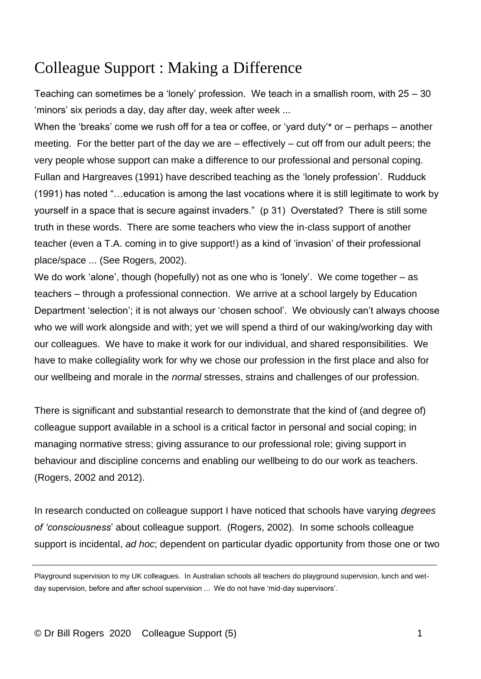# Colleague Support : Making a Difference

Teaching can sometimes be a 'lonely' profession. We teach in a smallish room, with 25 – 30 'minors' six periods a day, day after day, week after week ...

When the 'breaks' come we rush off for a tea or coffee, or 'yard duty'\* or – perhaps – another meeting. For the better part of the day we are – effectively – cut off from our adult peers; the very people whose support can make a difference to our professional and personal coping. Fullan and Hargreaves (1991) have described teaching as the 'lonely profession'. Rudduck (1991) has noted "…education is among the last vocations where it is still legitimate to work by yourself in a space that is secure against invaders." (p 31) Overstated? There is still some truth in these words. There are some teachers who view the in-class support of another teacher (even a T.A. coming in to give support!) as a kind of 'invasion' of their professional place/space ... (See Rogers, 2002).

We do work 'alone', though (hopefully) not as one who is 'lonely'. We come together – as teachers – through a professional connection. We arrive at a school largely by Education Department 'selection'; it is not always our 'chosen school'. We obviously can't always choose who we will work alongside and with; yet we will spend a third of our waking/working day with our colleagues. We have to make it work for our individual, and shared responsibilities. We have to make collegiality work for why we chose our profession in the first place and also for our wellbeing and morale in the *normal* stresses, strains and challenges of our profession.

There is significant and substantial research to demonstrate that the kind of (and degree of) colleague support available in a school is a critical factor in personal and social coping; in managing normative stress; giving assurance to our professional role; giving support in behaviour and discipline concerns and enabling our wellbeing to do our work as teachers. (Rogers, 2002 and 2012).

In research conducted on colleague support I have noticed that schools have varying *degrees of 'consciousness*' about colleague support. (Rogers, 2002). In some schools colleague support is incidental, *ad hoc*; dependent on particular dyadic opportunity from those one or two

Playground supervision to my UK colleagues. In Australian schools all teachers do playground supervision, lunch and wetday supervision, before and after school supervision ... We do not have 'mid-day supervisors'.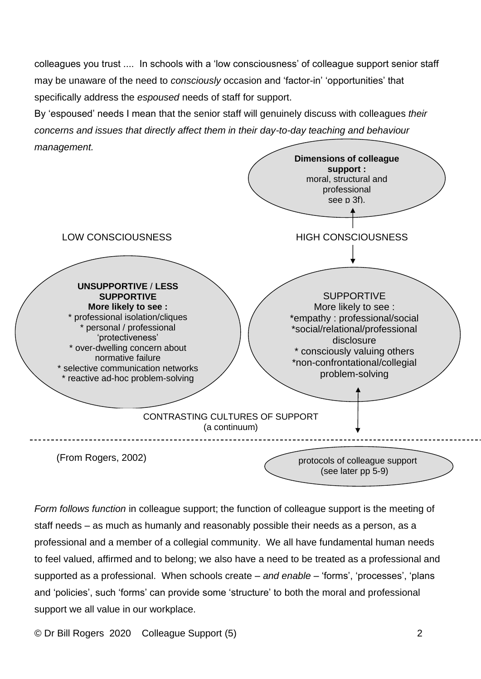colleagues you trust .... In schools with a 'low consciousness' of colleague support senior staff may be unaware of the need to *consciously* occasion and 'factor-in' 'opportunities' that specifically address the *espoused* needs of staff for support.

By 'espoused' needs I mean that the senior staff will genuinely discuss with colleagues *their concerns and issues that directly affect them in their day-to-day teaching and behaviour management.*



*Form follows function* in colleague support; the function of colleague support is the meeting of staff needs – as much as humanly and reasonably possible their needs as a person, as a professional and a member of a collegial community. We all have fundamental human needs to feel valued, affirmed and to belong; we also have a need to be treated as a professional and supported as a professional. When schools create – *and enable* – 'forms', 'processes', 'plans and 'policies', such 'forms' can provide some 'structure' to both the moral and professional support we all value in our workplace.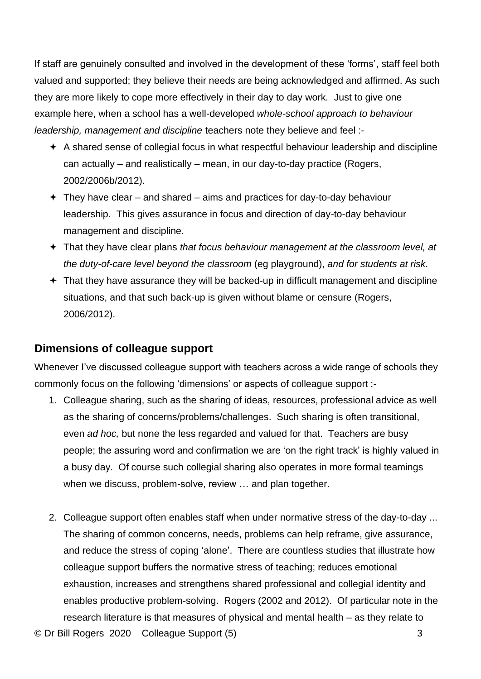If staff are genuinely consulted and involved in the development of these 'forms', staff feel both valued and supported; they believe their needs are being acknowledged and affirmed. As such they are more likely to cope more effectively in their day to day work. Just to give one example here, when a school has a well-developed *whole-school approach to behaviour leadership, management and discipline* teachers note they believe and feel :-

- $\div$  A shared sense of collegial focus in what respectful behaviour leadership and discipline can actually – and realistically – mean, in our day-to-day practice (Rogers, 2002/2006b/2012).
- $+$  They have clear and shared aims and practices for day-to-day behaviour leadership. This gives assurance in focus and direction of day-to-day behaviour management and discipline.
- That they have clear plans *that focus behaviour management at the classroom level, at the duty-of-care level beyond the classroom* (eg playground), *and for students at risk.*
- $+$  That they have assurance they will be backed-up in difficult management and discipline situations, and that such back-up is given without blame or censure (Rogers, 2006/2012).

### **Dimensions of colleague support**

Whenever I've discussed colleague support with teachers across a wide range of schools they commonly focus on the following 'dimensions' or aspects of colleague support :-

- 1. Colleague sharing, such as the sharing of ideas, resources, professional advice as well as the sharing of concerns/problems/challenges. Such sharing is often transitional, even *ad hoc,* but none the less regarded and valued for that. Teachers are busy people; the assuring word and confirmation we are 'on the right track' is highly valued in a busy day. Of course such collegial sharing also operates in more formal teamings when we discuss, problem-solve, review … and plan together.
- © Dr Bill Rogers 2020 Colleague Support (5) 3 2. Colleague support often enables staff when under normative stress of the day-to-day ... The sharing of common concerns, needs, problems can help reframe, give assurance, and reduce the stress of coping 'alone'. There are countless studies that illustrate how colleague support buffers the normative stress of teaching; reduces emotional exhaustion, increases and strengthens shared professional and collegial identity and enables productive problem-solving. Rogers (2002 and 2012). Of particular note in the research literature is that measures of physical and mental health – as they relate to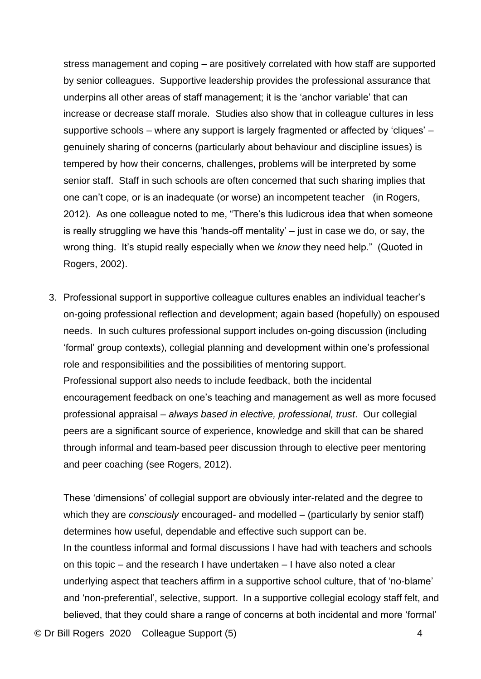stress management and coping – are positively correlated with how staff are supported by senior colleagues. Supportive leadership provides the professional assurance that underpins all other areas of staff management; it is the 'anchor variable' that can increase or decrease staff morale. Studies also show that in colleague cultures in less supportive schools – where any support is largely fragmented or affected by 'cliques' – genuinely sharing of concerns (particularly about behaviour and discipline issues) is tempered by how their concerns, challenges, problems will be interpreted by some senior staff. Staff in such schools are often concerned that such sharing implies that one can't cope, or is an inadequate (or worse) an incompetent teacher (in Rogers, 2012). As one colleague noted to me, "There's this ludicrous idea that when someone is really struggling we have this 'hands-off mentality' – just in case we do, or say, the wrong thing. It's stupid really especially when we *know* they need help." (Quoted in Rogers, 2002).

3. Professional support in supportive colleague cultures enables an individual teacher's on-going professional reflection and development; again based (hopefully) on espoused needs. In such cultures professional support includes on-going discussion (including 'formal' group contexts), collegial planning and development within one's professional role and responsibilities and the possibilities of mentoring support. Professional support also needs to include feedback, both the incidental encouragement feedback on one's teaching and management as well as more focused professional appraisal – *always based in elective, professional, trust*. Our collegial peers are a significant source of experience, knowledge and skill that can be shared through informal and team-based peer discussion through to elective peer mentoring and peer coaching (see Rogers, 2012).

These 'dimensions' of collegial support are obviously inter-related and the degree to which they are *consciously* encouraged- and modelled – (particularly by senior staff) determines how useful, dependable and effective such support can be. In the countless informal and formal discussions I have had with teachers and schools on this topic – and the research I have undertaken – I have also noted a clear underlying aspect that teachers affirm in a supportive school culture, that of 'no-blame' and 'non-preferential', selective, support. In a supportive collegial ecology staff felt, and believed, that they could share a range of concerns at both incidental and more 'formal'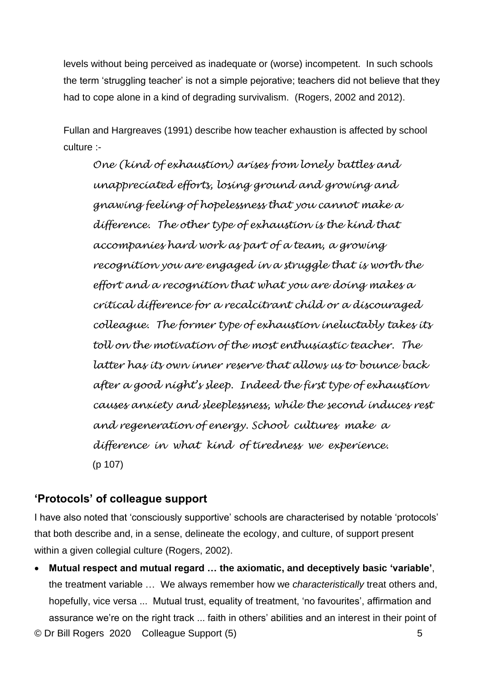levels without being perceived as inadequate or (worse) incompetent. In such schools the term 'struggling teacher' is not a simple pejorative; teachers did not believe that they had to cope alone in a kind of degrading survivalism. (Rogers, 2002 and 2012).

Fullan and Hargreaves (1991) describe how teacher exhaustion is affected by school culture :-

*One (kind of exhaustion) arises from lonely battles and unappreciated efforts, losing ground and growing and gnawing feeling of hopelessness that you cannot make a difference. The other type of exhaustion is the kind that accompanies hard work as part of a team, a growing recognition you are engaged in a struggle that is worth the effort and a recognition that what you are doing makes a critical difference for a recalcitrant child or a discouraged colleague. The former type of exhaustion ineluctably takes its toll on the motivation of the most enthusiastic teacher. The latter has its own inner reserve that allows us to bounce back after a good night's sleep. Indeed the first type of exhaustion causes anxiety and sleeplessness, while the second induces rest and regeneration of energy. School cultures make a difference in what kind of tiredness we experience.* (p 107)

## **'Protocols' of colleague support**

I have also noted that 'consciously supportive' schools are characterised by notable 'protocols' that both describe and, in a sense, delineate the ecology, and culture, of support present within a given collegial culture (Rogers, 2002).

© Dr Bill Rogers 2020 Colleague Support (5) 5 • **Mutual respect and mutual regard … the axiomatic, and deceptively basic 'variable'**, the treatment variable … We always remember how we *characteristically* treat others and, hopefully, vice versa ... Mutual trust, equality of treatment, 'no favourites', affirmation and assurance we're on the right track ... faith in others' abilities and an interest in their point of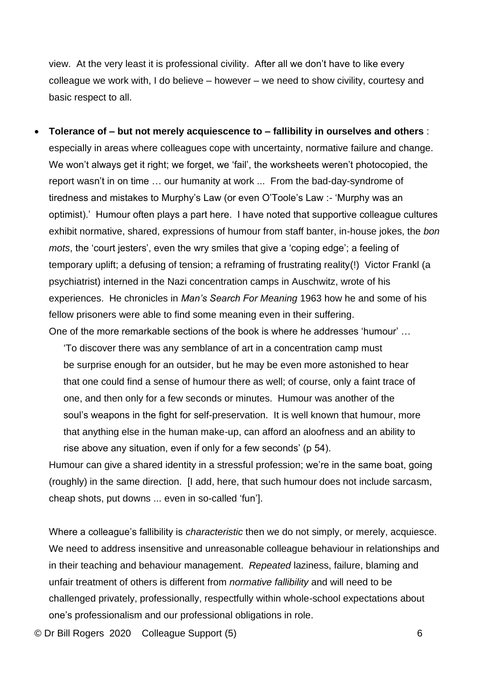view. At the very least it is professional civility. After all we don't have to like every colleague we work with, I do believe – however – we need to show civility, courtesy and basic respect to all.

• **Tolerance of – but not merely acquiescence to – fallibility in ourselves and others** : especially in areas where colleagues cope with uncertainty, normative failure and change. We won't always get it right; we forget, we 'fail', the worksheets weren't photocopied, the report wasn't in on time … our humanity at work ... From the bad-day-syndrome of tiredness and mistakes to Murphy's Law (or even O'Toole's Law :- 'Murphy was an optimist).' Humour often plays a part here. I have noted that supportive colleague cultures exhibit normative, shared, expressions of humour from staff banter, in-house jokes, the *bon mots*, the 'court jesters', even the wry smiles that give a 'coping edge'; a feeling of temporary uplift; a defusing of tension; a reframing of frustrating reality(!) Victor Frankl (a psychiatrist) interned in the Nazi concentration camps in Auschwitz, wrote of his experiences. He chronicles in *Man's Search For Meaning* 1963 how he and some of his fellow prisoners were able to find some meaning even in their suffering. One of the more remarkable sections of the book is where he addresses 'humour' …

'To discover there was any semblance of art in a concentration camp must be surprise enough for an outsider, but he may be even more astonished to hear that one could find a sense of humour there as well; of course, only a faint trace of one, and then only for a few seconds or minutes. Humour was another of the soul's weapons in the fight for self-preservation. It is well known that humour, more that anything else in the human make-up, can afford an aloofness and an ability to rise above any situation, even if only for a few seconds' (p 54).

Humour can give a shared identity in a stressful profession; we're in the same boat, going (roughly) in the same direction. [I add, here, that such humour does not include sarcasm, cheap shots, put downs ... even in so-called 'fun'].

Where a colleague's fallibility is *characteristic* then we do not simply, or merely, acquiesce. We need to address insensitive and unreasonable colleague behaviour in relationships and in their teaching and behaviour management. *Repeated* laziness, failure, blaming and unfair treatment of others is different from *normative fallibility* and will need to be challenged privately, professionally, respectfully within whole-school expectations about one's professionalism and our professional obligations in role.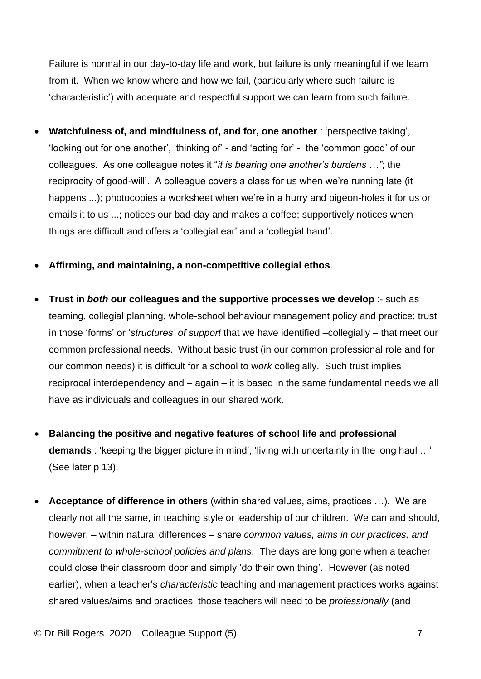Failure is normal in our day-to-day life and work, but failure is only meaningful if we learn from it. When we know where and how we fail, (particularly where such failure is 'characteristic') with adequate and respectful support we can learn from such failure.

- **Watchfulness of, and mindfulness of, and for, one another** : 'perspective taking', 'looking out for one another', 'thinking of' - and 'acting for' - the 'common good' of our colleagues. As one colleague notes it "*it is bearing one another's burdens …"*; the reciprocity of good-will'. A colleague covers a class for us when we're running late (it happens ...); photocopies a worksheet when we're in a hurry and pigeon-holes it for us or emails it to us ...; notices our bad-day and makes a coffee; supportively notices when things are difficult and offers a 'collegial ear' and a 'collegial hand'.
- **Affirming, and maintaining, a non-competitive collegial ethos**.
- **Trust in** *both* **our colleagues and the supportive processes we develop** :- such as teaming, collegial planning, whole-school behaviour management policy and practice; trust in those 'forms' or '*structures' of support* that we have identified –collegially – that meet our common professional needs. Without basic trust (in our common professional role and for our common needs) it is difficult for a school to w*ork* collegially. Such trust implies reciprocal interdependency and – again – it is based in the same fundamental needs we all have as individuals and colleagues in our shared work.
- **Balancing the positive and negative features of school life and professional demands** : 'keeping the bigger picture in mind', 'living with uncertainty in the long haul …' (See later p 13).
- **Acceptance of difference in others** (within shared values, aims, practices …). We are clearly not all the same, in teaching style or leadership of our children. We can and should, however, – within natural differences – share *common values, aims in our practices, and commitment to whole-school policies and plans*. The days are long gone when a teacher could close their classroom door and simply 'do their own thing'. However (as noted earlier), when a teacher's *characteristic* teaching and management practices works against shared values/aims and practices, those teachers will need to be *professionally* (and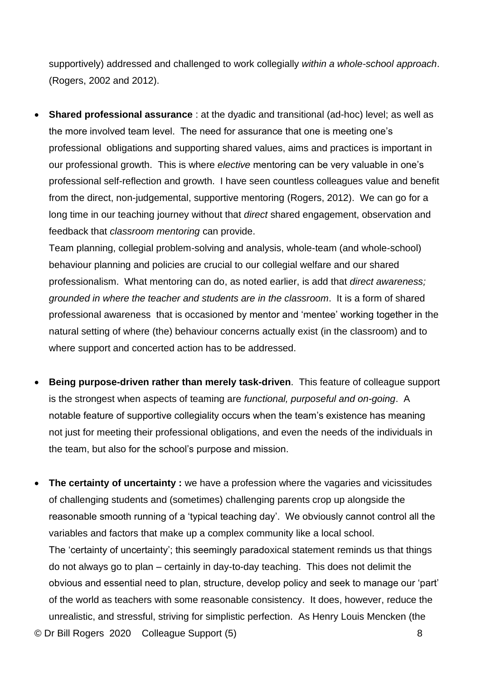supportively) addressed and challenged to work collegially *within a whole-school approach*. (Rogers, 2002 and 2012).

• **Shared professional assurance** : at the dyadic and transitional (ad-hoc) level; as well as the more involved team level. The need for assurance that one is meeting one's professional obligations and supporting shared values, aims and practices is important in our professional growth. This is where *elective* mentoring can be very valuable in one's professional self-reflection and growth. I have seen countless colleagues value and benefit from the direct, non-judgemental, supportive mentoring (Rogers, 2012). We can go for a long time in our teaching journey without that *direct* shared engagement, observation and feedback that *classroom mentoring* can provide.

Team planning, collegial problem-solving and analysis, whole-team (and whole-school) behaviour planning and policies are crucial to our collegial welfare and our shared professionalism. What mentoring can do, as noted earlier, is add that *direct awareness; grounded in where the teacher and students are in the classroom*. It is a form of shared professional awareness that is occasioned by mentor and 'mentee' working together in the natural setting of where (the) behaviour concerns actually exist (in the classroom) and to where support and concerted action has to be addressed.

- **Being purpose-driven rather than merely task-driven**. This feature of colleague support is the strongest when aspects of teaming are *functional, purposeful and on-going*. A notable feature of supportive collegiality occurs when the team's existence has meaning not just for meeting their professional obligations, and even the needs of the individuals in the team, but also for the school's purpose and mission.
- © Dr Bill Rogers 2020 Colleague Support (5) 8 • The certainty of uncertainty : we have a profession where the vagaries and vicissitudes of challenging students and (sometimes) challenging parents crop up alongside the reasonable smooth running of a 'typical teaching day'. We obviously cannot control all the variables and factors that make up a complex community like a local school. The 'certainty of uncertainty'; this seemingly paradoxical statement reminds us that things do not always go to plan – certainly in day-to-day teaching. This does not delimit the obvious and essential need to plan, structure, develop policy and seek to manage our 'part' of the world as teachers with some reasonable consistency. It does, however, reduce the unrealistic, and stressful, striving for simplistic perfection. As Henry Louis Mencken (the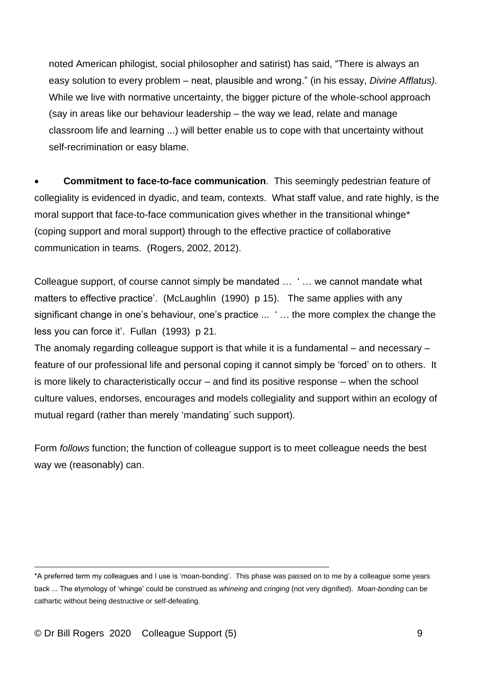noted American philogist, social philosopher and satirist) has said, "There is always an easy solution to every problem – neat, plausible and wrong." (in his essay, *Divine Afflatus).* While we live with normative uncertainty, the bigger picture of the whole-school approach (say in areas like our behaviour leadership – the way we lead, relate and manage classroom life and learning ...) will better enable us to cope with that uncertainty without self-recrimination or easy blame.

• **Commitment to face-to-face communication**. This seemingly pedestrian feature of collegiality is evidenced in dyadic, and team, contexts. What staff value, and rate highly, is the moral support that face-to-face communication gives whether in the transitional whinge\* (coping support and moral support) through to the effective practice of collaborative communication in teams. (Rogers, 2002, 2012).

Colleague support, of course cannot simply be mandated … ' … we cannot mandate what matters to effective practice'. (McLaughlin (1990) p 15). The same applies with any significant change in one's behaviour, one's practice ... ' … the more complex the change the less you can force it'. Fullan (1993) p 21.

The anomaly regarding colleague support is that while it is a fundamental – and necessary – feature of our professional life and personal coping it cannot simply be 'forced' on to others. It is more likely to characteristically occur – and find its positive response – when the school culture values, endorses, encourages and models collegiality and support within an ecology of mutual regard (rather than merely 'mandating' such support).

Form *follows* function; the function of colleague support is to meet colleague needs the best way we (reasonably) can.

\_\_\_\_\_\_\_\_\_\_\_\_\_\_\_\_\_\_\_\_\_\_\_\_\_\_\_\_\_\_\_\_\_\_\_\_\_\_\_\_\_\_\_\_\_\_\_\_\_\_\_\_\_\_\_\_\_\_\_\_\_\_\_\_\_\_\_\_\_\_\_\_\_

<sup>\*</sup>A preferred term my colleagues and I use is 'moan-bonding'. This phase was passed on to me by a colleague some years back ... The etymology of 'whinge' could be construed as *whineing* and *cringing* (not very dignified). *Moan-bonding* can be cathartic without being destructive or self-defeating.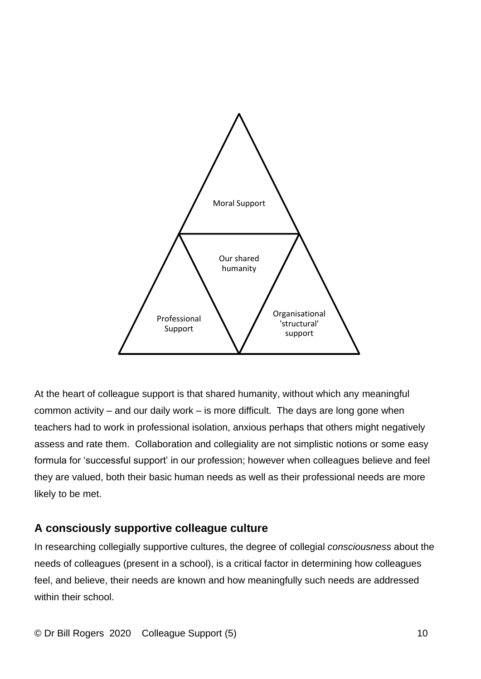

At the heart of colleague support is that shared humanity, without which any meaningful common activity – and our daily work – is more difficult. The days are long gone when teachers had to work in professional isolation, anxious perhaps that others might negatively assess and rate them. Collaboration and collegiality are not simplistic notions or some easy formula for 'successful support' in our profession; however when colleagues believe and feel they are valued, both their basic human needs as well as their professional needs are more likely to be met.

### **A consciously supportive colleague culture**

In researching collegially supportive cultures, the degree of collegial *consciousness* about the needs of colleagues (present in a school), is a critical factor in determining how colleagues feel, and believe, their needs are known and how meaningfully such needs are addressed within their school.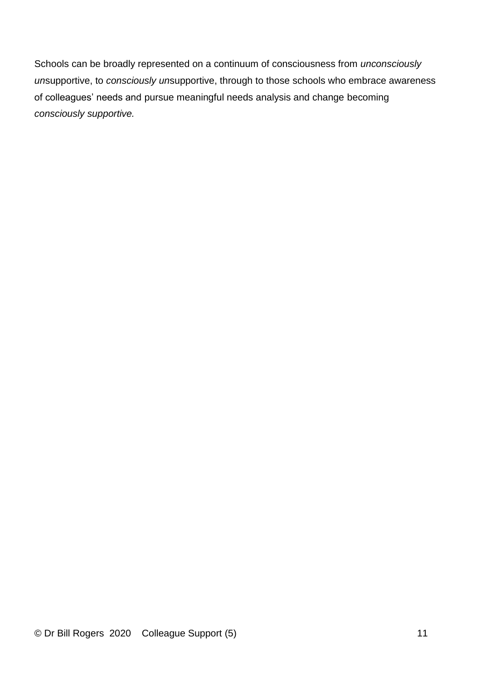Schools can be broadly represented on a continuum of consciousness from *unconsciously un*supportive, to *consciously un*supportive, through to those schools who embrace awareness of colleagues' needs and pursue meaningful needs analysis and change becoming *consciously supportive.*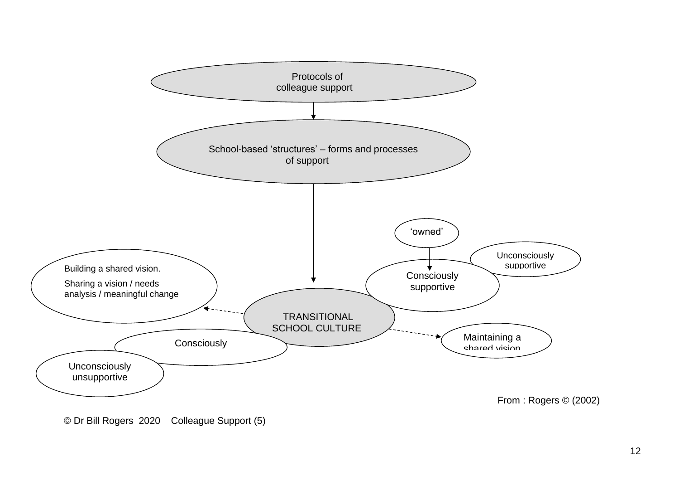

<sup>©</sup> Dr Bill Rogers 2020 Colleague Support (5)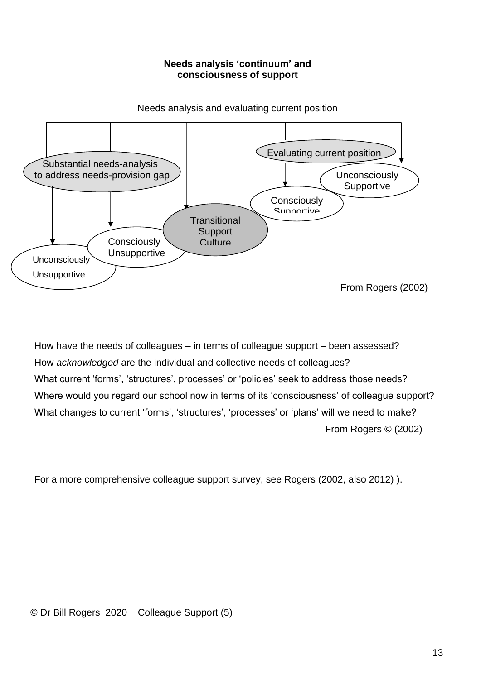#### **Needs analysis 'continuum' and consciousness of support**



Needs analysis and evaluating current position

How have the needs of colleagues – in terms of colleague support – been assessed? How *acknowledged* are the individual and collective needs of colleagues? What current 'forms', 'structures', processes' or 'policies' seek to address those needs? Where would you regard our school now in terms of its 'consciousness' of colleague support? What changes to current 'forms', 'structures', 'processes' or 'plans' will we need to make? From Rogers © (2002)

For a more comprehensive colleague support survey, see Rogers (2002, also 2012) ).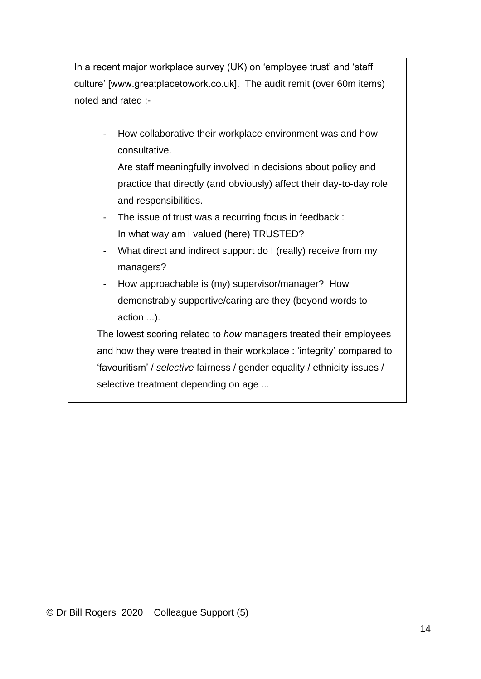In a recent major workplace survey (UK) on 'employee trust' and 'staff culture' [www.greatplacetowork.co.uk]. The audit remit (over 60m items) noted and rated :-

- How collaborative their workplace environment was and how consultative.

Are staff meaningfully involved in decisions about policy and practice that directly (and obviously) affect their day-to-day role and responsibilities.

- The issue of trust was a recurring focus in feedback : In what way am I valued (here) TRUSTED?
- What direct and indirect support do I (really) receive from my managers?
- How approachable is (my) supervisor/manager? How demonstrably supportive/caring are they (beyond words to action ...).

The lowest scoring related to *how* managers treated their employees and how they were treated in their workplace : 'integrity' compared to 'favouritism' / *selective* fairness / gender equality / ethnicity issues / selective treatment depending on age ...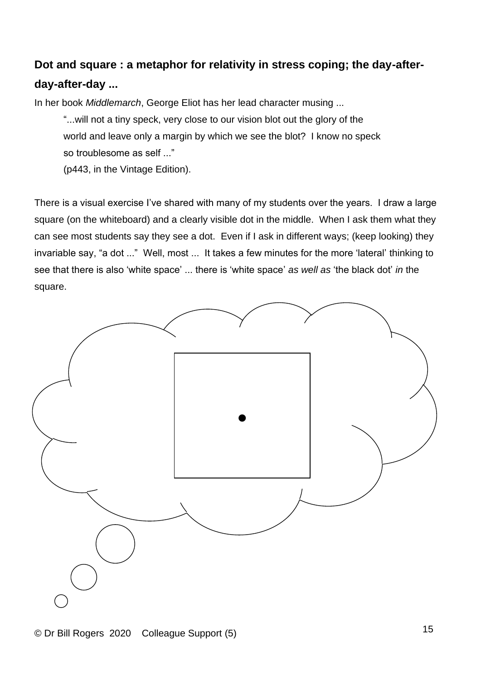## **Dot and square : a metaphor for relativity in stress coping; the day-afterday-after-day ...**

In her book *Middlemarch*, George Eliot has her lead character musing ...

"...will not a tiny speck, very close to our vision blot out the glory of the world and leave only a margin by which we see the blot? I know no speck so troublesome as self ..."

(p443, in the Vintage Edition).

There is a visual exercise I've shared with many of my students over the years. I draw a large square (on the whiteboard) and a clearly visible dot in the middle. When I ask them what they can see most students say they see a dot. Even if I ask in different ways; (keep looking) they invariable say, "a dot ..." Well, most ... It takes a few minutes for the more 'lateral' thinking to see that there is also 'white space' ... there is 'white space' *as well as* 'the black dot' *in* the square.

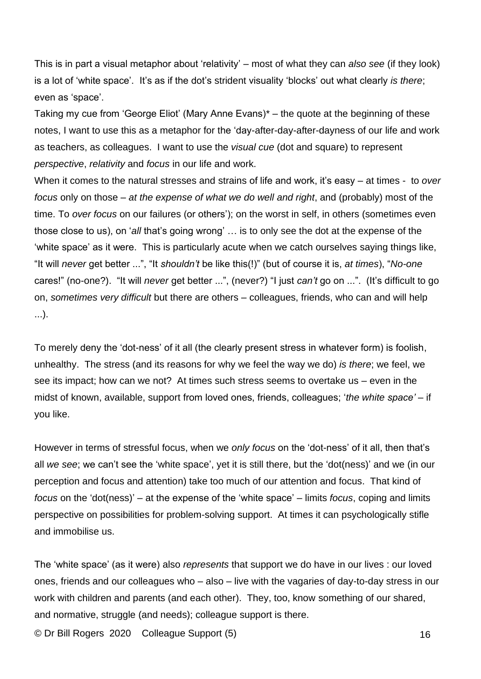This is in part a visual metaphor about 'relativity' – most of what they can *also see* (if they look) is a lot of 'white space'. It's as if the dot's strident visuality 'blocks' out what clearly *is there*; even as 'space'.

Taking my cue from 'George Eliot' (Mary Anne Evans)\* – the quote at the beginning of these notes, I want to use this as a metaphor for the 'day-after-day-after-dayness of our life and work as teachers, as colleagues. I want to use the *visual cue* (dot and square) to represent *perspective*, *relativity* and *focus* in our life and work.

When it comes to the natural stresses and strains of life and work, it's easy – at times - to *over focus* only on those – *at the expense of what we do well and right*, and (probably) most of the time. To *over focus* on our failures (or others'); on the worst in self, in others (sometimes even those close to us), on '*all* that's going wrong' … is to only see the dot at the expense of the 'white space' as it were. This is particularly acute when we catch ourselves saying things like, "It will *never* get better ...", "It *shouldn't* be like this(!)" (but of course it is, *at times*), "*No-one* cares!" (no-one?). "It will *never* get better ...", (never?) "I just *can't* go on ...". (It's difficult to go on, *sometimes very difficult* but there are others – colleagues, friends, who can and will help ...).

To merely deny the 'dot-ness' of it all (the clearly present stress in whatever form) is foolish, unhealthy. The stress (and its reasons for why we feel the way we do) *is there*; we feel, we see its impact; how can we not? At times such stress seems to overtake us – even in the midst of known, available, support from loved ones, friends, colleagues; '*the white space'* – if you like.

However in terms of stressful focus, when we *only focus* on the 'dot-ness' of it all, then that's all *we see*; we can't see the 'white space', yet it is still there, but the 'dot(ness)' and we (in our perception and focus and attention) take too much of our attention and focus. That kind of *focus* on the 'dot(ness)' – at the expense of the 'white space' – limits *focus*, coping and limits perspective on possibilities for problem-solving support. At times it can psychologically stifle and immobilise us.

The 'white space' (as it were) also *represents* that support we do have in our lives : our loved ones, friends and our colleagues who – also – live with the vagaries of day-to-day stress in our work with children and parents (and each other). They, too, know something of our shared, and normative, struggle (and needs); colleague support is there.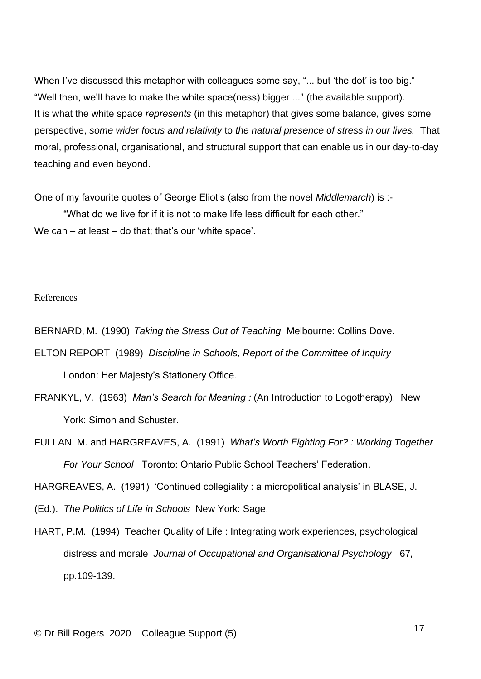When I've discussed this metaphor with colleagues some say, "... but 'the dot' is too big." "Well then, we'll have to make the white space(ness) bigger ..." (the available support). It is what the white space *represents* (in this metaphor) that gives some balance, gives some perspective, *some wider focus and relativity* to *the natural presence of stress in our lives.* That moral, professional, organisational, and structural support that can enable us in our day-to-day teaching and even beyond.

One of my favourite quotes of George Eliot's (also from the novel *Middlemarch*) is :-

"What do we live for if it is not to make life less difficult for each other." We can – at least – do that; that's our 'white space'.

#### References

BERNARD, M. (1990) *Taking the Stress Out of Teaching* Melbourne: Collins Dove.

- ELTON REPORT (1989) *Discipline in Schools, Report of the Committee of Inquiry* London: Her Majesty's Stationery Office.
- FRANKYL, V. (1963) *Man's Search for Meaning :* (An Introduction to Logotherapy). New York: Simon and Schuster.
- FULLAN, M. and HARGREAVES, A. (1991) *What's Worth Fighting For? : Working Together For Your School* Toronto: Ontario Public School Teachers' Federation.

HARGREAVES, A. (1991) 'Continued collegiality : a micropolitical analysis' in BLASE, J.

- (Ed.). *The Politics of Life in Schools* New York: Sage.
- HART, P.M. (1994) Teacher Quality of Life : Integrating work experiences, psychological distress and morale *Journal of Occupational and Organisational Psychology* 67*,*  pp*.*109-139.